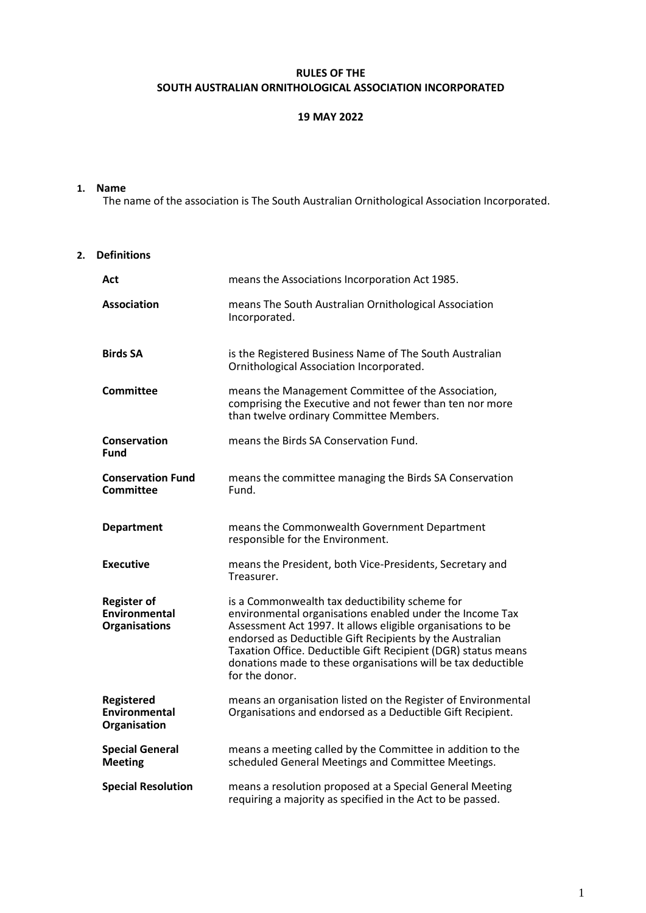### **RULES OF THE SOUTH AUSTRALIAN ORNITHOLOGICAL ASSOCIATION INCORPORATED**

#### **19 MAY 2022**

#### **1. Name**

The name of the association is The South Australian Ornithological Association Incorporated.

#### **2. Definitions**

| Act                                                         | means the Associations Incorporation Act 1985.                                                                                                                                                                                                                                                                                                                                           |
|-------------------------------------------------------------|------------------------------------------------------------------------------------------------------------------------------------------------------------------------------------------------------------------------------------------------------------------------------------------------------------------------------------------------------------------------------------------|
| Association                                                 | means The South Australian Ornithological Association<br>Incorporated.                                                                                                                                                                                                                                                                                                                   |
| <b>Birds SA</b>                                             | is the Registered Business Name of The South Australian<br>Ornithological Association Incorporated.                                                                                                                                                                                                                                                                                      |
| <b>Committee</b>                                            | means the Management Committee of the Association,<br>comprising the Executive and not fewer than ten nor more<br>than twelve ordinary Committee Members.                                                                                                                                                                                                                                |
| Conservation<br><b>Fund</b>                                 | means the Birds SA Conservation Fund.                                                                                                                                                                                                                                                                                                                                                    |
| <b>Conservation Fund</b><br>Committee                       | means the committee managing the Birds SA Conservation<br>Fund.                                                                                                                                                                                                                                                                                                                          |
| <b>Department</b>                                           | means the Commonwealth Government Department<br>responsible for the Environment.                                                                                                                                                                                                                                                                                                         |
| <b>Executive</b>                                            | means the President, both Vice-Presidents, Secretary and<br>Treasurer.                                                                                                                                                                                                                                                                                                                   |
| <b>Register of</b><br>Environmental<br><b>Organisations</b> | is a Commonwealth tax deductibility scheme for<br>environmental organisations enabled under the Income Tax<br>Assessment Act 1997. It allows eligible organisations to be<br>endorsed as Deductible Gift Recipients by the Australian<br>Taxation Office. Deductible Gift Recipient (DGR) status means<br>donations made to these organisations will be tax deductible<br>for the donor. |
| Registered<br>Environmental<br>Organisation                 | means an organisation listed on the Register of Environmental<br>Organisations and endorsed as a Deductible Gift Recipient.                                                                                                                                                                                                                                                              |
| <b>Special General</b><br><b>Meeting</b>                    | means a meeting called by the Committee in addition to the<br>scheduled General Meetings and Committee Meetings.                                                                                                                                                                                                                                                                         |
| <b>Special Resolution</b>                                   | means a resolution proposed at a Special General Meeting<br>requiring a majority as specified in the Act to be passed.                                                                                                                                                                                                                                                                   |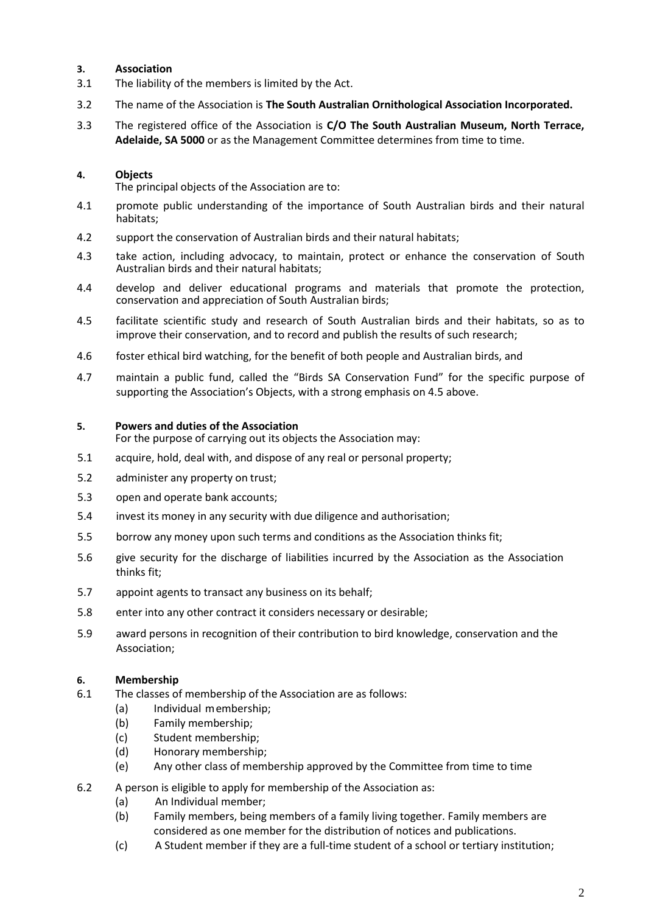### **3. Association**

- 3.1 The liability of the members is limited by the Act.
- 3.2 The name of the Association is **The South Australian Ornithological Association Incorporated.**
- 3.3 The registered office of the Association is **C/O The South Australian Museum, North Terrace, Adelaide, SA 5000** or as the Management Committee determines from time to time.

### **4. Objects**

The principal objects of the Association are to:

- 4.1 promote public understanding of the importance of South Australian birds and their natural habitats;
- 4.2 support the conservation of Australian birds and their natural habitats;
- 4.3 take action, including advocacy, to maintain, protect or enhance the conservation of South Australian birds and their natural habitats;
- 4.4 develop and deliver educational programs and materials that promote the protection, conservation and appreciation of South Australian birds;
- 4.5 facilitate scientific study and research of South Australian birds and their habitats, so as to improve their conservation, and to record and publish the results of such research;
- 4.6 foster ethical bird watching, for the benefit of both people and Australian birds, and
- 4.7 maintain a public fund, called the "Birds SA Conservation Fund" for the specific purpose of supporting the Association's Objects, with a strong emphasis on 4.5 above.

### **5. Powers and duties of the Association**

For the purpose of carrying out its objects the Association may:

- 5.1 acquire, hold, deal with, and dispose of any real or personal property;
- 5.2 administer any property on trust;
- 5.3 open and operate bank accounts;
- 5.4 invest its money in any security with due diligence and authorisation;
- 5.5 borrow any money upon such terms and conditions as the Association thinks fit;
- 5.6 give security for the discharge of liabilities incurred by the Association as the Association thinks fit;
- 5.7 appoint agents to transact any business on its behalf;
- 5.8 enter into any other contract it considers necessary or desirable;
- 5.9 award persons in recognition of their contribution to bird knowledge, conservation and the Association;

## **6. Membership**

- 6.1 The classes of membership of the Association are as follows:
	- (a) Individual membership;
	- (b) Family membership;
	- (c) Student membership;
	- (d) Honorary membership;
	- (e) Any other class of membership approved by the Committee from time to time
- 6.2 A person is eligible to apply for membership of the Association as:
	- (a) An Individual member;
	- (b) Family members, being members of a family living together. Family members are considered as one member for the distribution of notices and publications.
	- (c) A Student member if they are a full-time student of a school or tertiary institution;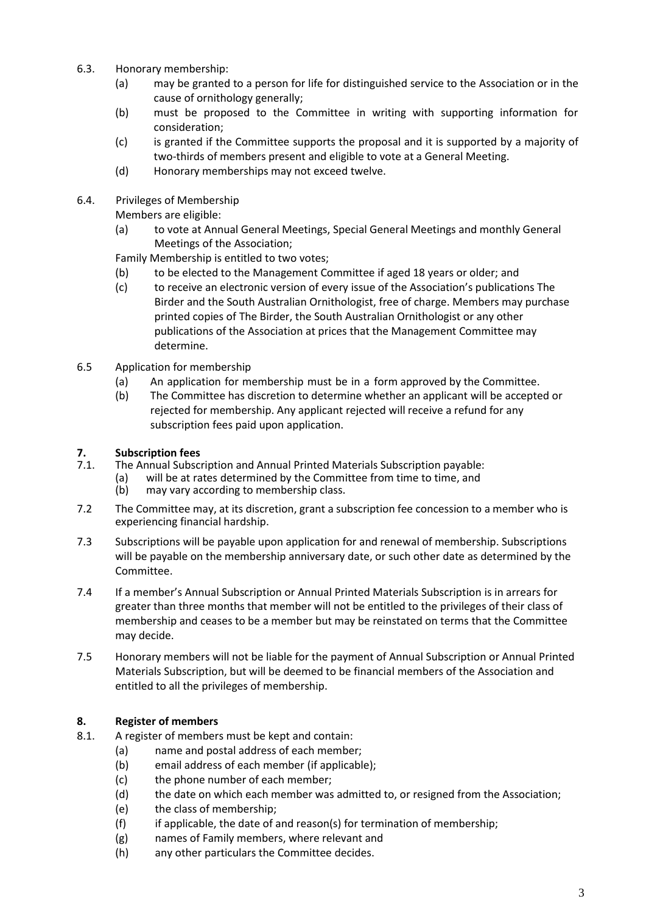- 6.3. Honorary membership:
	- (a) may be granted to a person for life for distinguished service to the Association or in the cause of ornithology generally;
	- (b) must be proposed to the Committee in writing with supporting information for consideration;
	- (c) is granted if the Committee supports the proposal and it is supported by a majority of two-thirds of members present and eligible to vote at a General Meeting.
	- (d) Honorary memberships may not exceed twelve.
- 6.4. Privileges of Membership

Members are eligible:

(a) to vote at Annual General Meetings, Special General Meetings and monthly General Meetings of the Association;

Family Membership is entitled to two votes;

- (b) to be elected to the Management Committee if aged 18 years or older; and
- (c) to receive an electronic version of every issue of the Association's publications The Birder and the South Australian Ornithologist, free of charge. Members may purchase printed copies of The Birder, the South Australian Ornithologist or any other publications of the Association at prices that the Management Committee may determine.
- 6.5 Application for membership
	- (a) An application for membership must be in a form approved by the Committee.
	- (b) The Committee has discretion to determine whether an applicant will be accepted or rejected for membership. Any applicant rejected will receive a refund for any subscription fees paid upon application.

# **7. Subscription fees**

- 7.1. The Annual Subscription and Annual Printed Materials Subscription payable:
	- (a) will be at rates determined by the Committee from time to time, and (b) may vary according to membership class.
		- may vary according to membership class.
- 7.2 The Committee may, at its discretion, grant a subscription fee concession to a member who is experiencing financial hardship.
- 7.3 Subscriptions will be payable upon application for and renewal of membership. Subscriptions will be payable on the membership anniversary date, or such other date as determined by the Committee.
- 7.4 If a member's Annual Subscription or Annual Printed Materials Subscription is in arrears for greater than three months that member will not be entitled to the privileges of their class of membership and ceases to be a member but may be reinstated on terms that the Committee may decide.
- 7.5 Honorary members will not be liable for the payment of Annual Subscription or Annual Printed Materials Subscription, but will be deemed to be financial members of the Association and entitled to all the privileges of membership.

# **8. Register of members**

- 8.1. A register of members must be kept and contain:
	- (a) name and postal address of each member;
	- (b) email address of each member (if applicable);
	- (c) the phone number of each member;
	- (d) the date on which each member was admitted to, or resigned from the Association;
	- (e) the class of membership;
	- (f) if applicable, the date of and reason(s) for termination of membership;
	- (g) names of Family members, where relevant and
	- (h) any other particulars the Committee decides.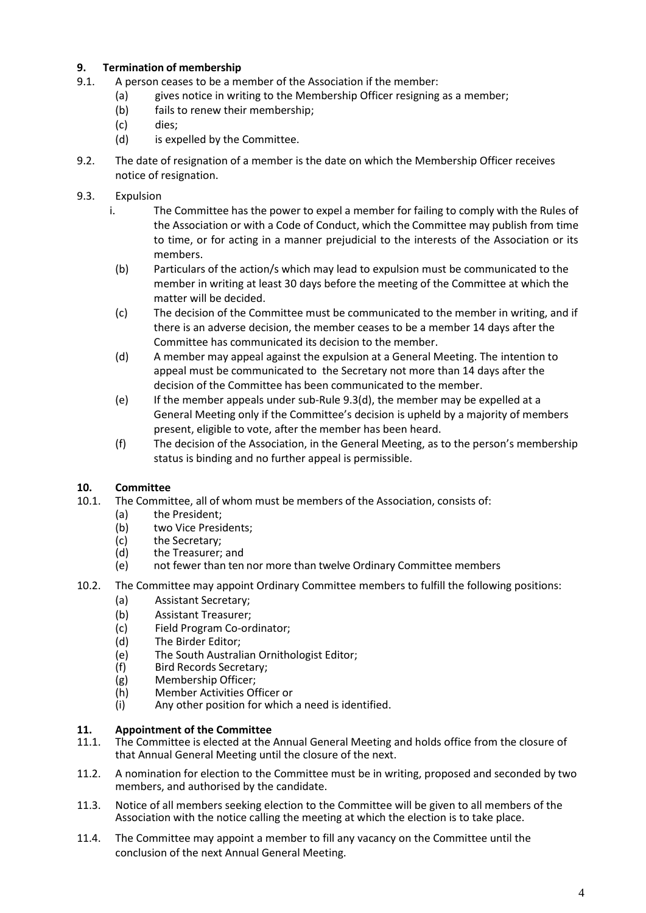# **9. Termination of membership**

- 9.1. A person ceases to be a member of the Association if the member:
	- (a) gives notice in writing to the Membership Officer resigning as a member;
	- (b) fails to renew their membership;
	- (c) dies;
	- (d) is expelled by the Committee.
- 9.2. The date of resignation of a member is the date on which the Membership Officer receives notice of resignation.
- 9.3. Expulsion
	- i. The Committee has the power to expel a member for failing to comply with the Rules of the Association or with a Code of Conduct, which the Committee may publish from time to time, or for acting in a manner prejudicial to the interests of the Association or its members.
	- (b) Particulars of the action/s which may lead to expulsion must be communicated to the member in writing at least 30 days before the meeting of the Committee at which the matter will be decided.
	- (c) The decision of the Committee must be communicated to the member in writing, and if there is an adverse decision, the member ceases to be a member 14 days after the Committee has communicated its decision to the member.
	- (d) A member may appeal against the expulsion at a General Meeting. The intention to appeal must be communicated to the Secretary not more than 14 days after the decision of the Committee has been communicated to the member.
	- (e) If the member appeals under sub-Rule  $9.3(d)$ , the member may be expelled at a General Meeting only if the Committee's decision is upheld by a majority of members present, eligible to vote, after the member has been heard.
	- (f) The decision of the Association, in the General Meeting, as to the person's membership status is binding and no further appeal is permissible.

# **10. Committee**

- 10.1. The Committee, all of whom must be members of the Association, consists of:
	- (a) the President;
	- (b) two Vice Presidents;<br>(c) the Secretary;
	- (c) the Secretary;<br>(d) the Treasurer;
	- the Treasurer; and
	- (e) not fewer than ten nor more than twelve Ordinary Committee members
- 10.2. The Committee may appoint Ordinary Committee members to fulfill the following positions:
	- (a) Assistant Secretary;
	- (b) Assistant Treasurer;
	- (c) Field Program Co-ordinator;
	- (d) The Birder Editor;
	- (e) The South Australian Ornithologist Editor;
	- (f) Bird Records Secretary;
	- (g) Membership Officer;
	- (h) Member Activities Officer or
	- (i) Any other position for which a need is identified.

# **11. Appointment of the Committee**

- The Committee is elected at the Annual General Meeting and holds office from the closure of that Annual General Meeting until the closure of the next.
- 11.2. A nomination for election to the Committee must be in writing, proposed and seconded by two members, and authorised by the candidate.
- 11.3. Notice of all members seeking election to the Committee will be given to all members of the Association with the notice calling the meeting at which the election is to take place.
- 11.4. The Committee may appoint a member to fill any vacancy on the Committee until the conclusion of the next Annual General Meeting.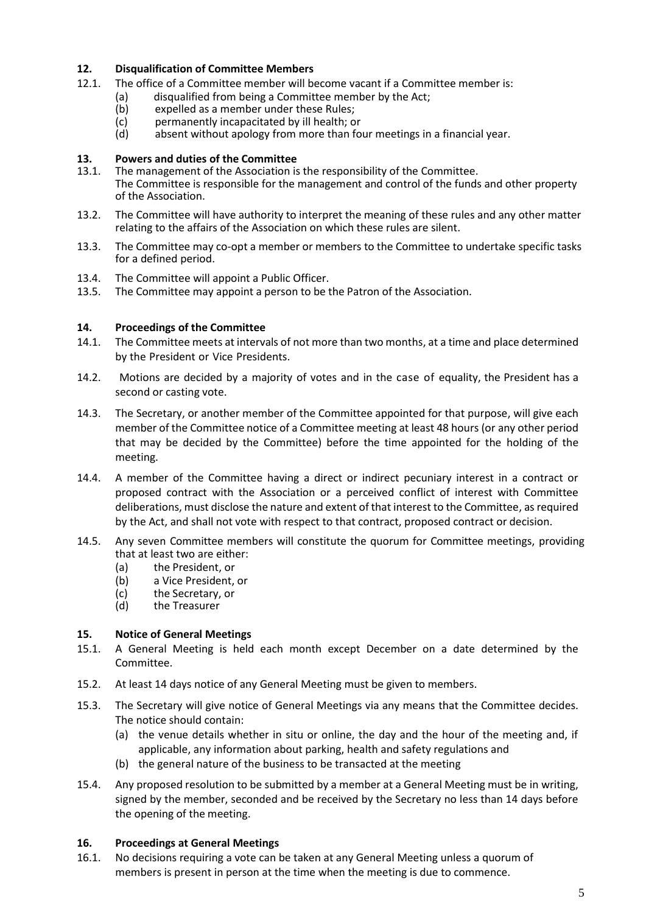### **12. Disqualification of Committee Members**

- 12.1. The office of a Committee member will become vacant if a Committee member is:
	- (a) disqualified from being a Committee member by the Act;<br>(b) expelled as a member under these Rules;
		- (b) expelled as a member under these Rules;<br>(c) permanently incapacitated by ill health; o
		- (c) permanently incapacitated by ill health; or<br>(d) absent without apology from more than fo
		- absent without apology from more than four meetings in a financial year.

# **13. Powers and duties of the Committee**

- The management of the Association is the responsibility of the Committee. The Committee is responsible for the management and control of the funds and other property of the Association.
- 13.2. The Committee will have authority to interpret the meaning of these rules and any other matter relating to the affairs of the Association on which these rules are silent.
- 13.3. The Committee may co-opt a member or members to the Committee to undertake specific tasks for a defined period.
- 13.4. The Committee will appoint a Public Officer.
- 13.5. The Committee may appoint a person to be the Patron of the Association.

### **14. Proceedings of the Committee**

- 14.1. The Committee meets at intervals of not more than two months, at a time and place determined by the President or Vice Presidents.
- 14.2. Motions are decided by a majority of votes and in the case of equality, the President has a second or casting vote.
- 14.3. The Secretary, or another member of the Committee appointed for that purpose, will give each member of the Committee notice of a Committee meeting at least 48 hours (or any other period that may be decided by the Committee) before the time appointed for the holding of the meeting.
- 14.4. A member of the Committee having a direct or indirect pecuniary interest in a contract or proposed contract with the Association or a perceived conflict of interest with Committee deliberations, must disclose the nature and extent of that interest to the Committee, as required by the Act, and shall not vote with respect to that contract, proposed contract or decision.
- 14.5. Any seven Committee members will constitute the quorum for Committee meetings, providing that at least two are either:
	- (a) the President, or
	- (b) a Vice President, or
	- (c) the Secretary, or<br>(d) the Treasurer
	- the Treasurer

#### **15. Notice of General Meetings**

- 15.1. A General Meeting is held each month except December on a date determined by the Committee.
- 15.2. At least 14 days notice of any General Meeting must be given to members.
- 15.3. The Secretary will give notice of General Meetings via any means that the Committee decides. The notice should contain:
	- (a) the venue details whether in situ or online, the day and the hour of the meeting and, if applicable, any information about parking, health and safety regulations and
	- (b) the general nature of the business to be transacted at the meeting
- 15.4. Any proposed resolution to be submitted by a member at a General Meeting must be in writing, signed by the member, seconded and be received by the Secretary no less than 14 days before the opening of the meeting.

#### **16. Proceedings at General Meetings**

16.1. No decisions requiring a vote can be taken at any General Meeting unless a quorum of members is present in person at the time when the meeting is due to commence.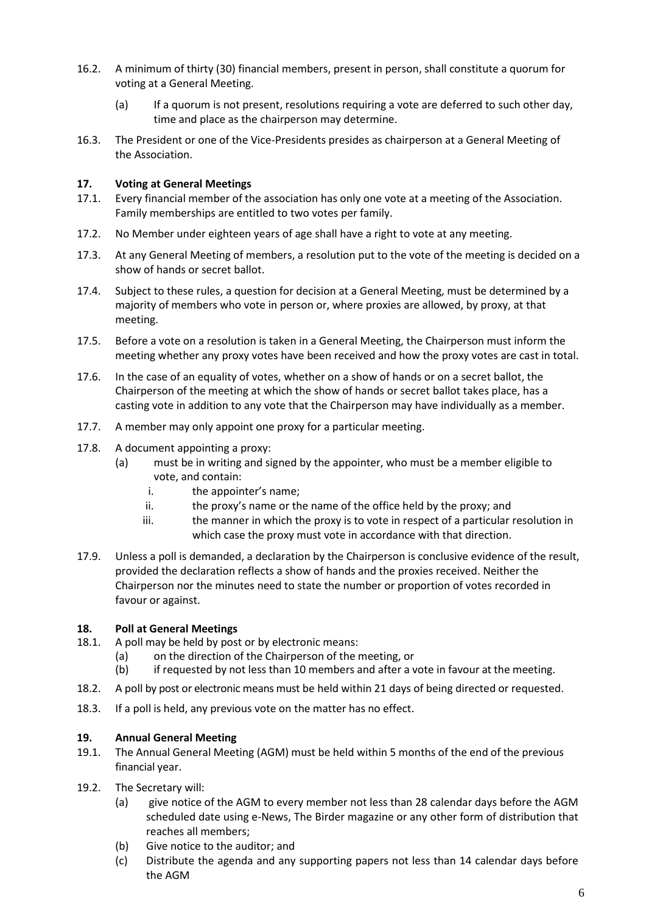- 16.2. A minimum of thirty (30) financial members, present in person, shall constitute a quorum for voting at a General Meeting.
	- (a) If a quorum is not present, resolutions requiring a vote are deferred to such other day, time and place as the chairperson may determine.
- 16.3. The President or one of the Vice-Presidents presides as chairperson at a General Meeting of the Association.

### **17. Voting at General Meetings**

- 17.1. Every financial member of the association has only one vote at a meeting of the Association. Family memberships are entitled to two votes per family.
- 17.2. No Member under eighteen years of age shall have a right to vote at any meeting.
- 17.3. At any General Meeting of members, a resolution put to the vote of the meeting is decided on a show of hands or secret ballot.
- 17.4. Subject to these rules, a question for decision at a General Meeting, must be determined by a majority of members who vote in person or, where proxies are allowed, by proxy, at that meeting.
- 17.5. Before a vote on a resolution is taken in a General Meeting, the Chairperson must inform the meeting whether any proxy votes have been received and how the proxy votes are cast in total.
- 17.6. In the case of an equality of votes, whether on a show of hands or on a secret ballot, the Chairperson of the meeting at which the show of hands or secret ballot takes place, has a casting vote in addition to any vote that the Chairperson may have individually as a member.
- 17.7. A member may only appoint one proxy for a particular meeting.
- 17.8. A document appointing a proxy:
	- (a) must be in writing and signed by the appointer, who must be a member eligible to vote, and contain:
		- i. the appointer's name;
		- ii. the proxy's name or the name of the office held by the proxy; and
		- iii. the manner in which the proxy is to vote in respect of a particular resolution in which case the proxy must vote in accordance with that direction.
- 17.9. Unless a poll is demanded, a declaration by the Chairperson is conclusive evidence of the result, provided the declaration reflects a show of hands and the proxies received. Neither the Chairperson nor the minutes need to state the number or proportion of votes recorded in favour or against.

#### **18. Poll at General Meetings**

- 18.1. A poll may be held by post or by electronic means:
	- (a) on the direction of the Chairperson of the meeting, or
	- (b) if requested by not less than 10 members and after a vote in favour at the meeting.
- 18.2. A poll by post or electronic means must be held within 21 days of being directed or requested.
- 18.3. If a poll is held, any previous vote on the matter has no effect.

## **19. Annual General Meeting**

- 19.1. The Annual General Meeting (AGM) must be held within 5 months of the end of the previous financial year.
- 19.2. The Secretary will:
	- (a) give notice of the AGM to every member not less than 28 calendar days before the AGM scheduled date using e-News, The Birder magazine or any other form of distribution that reaches all members;
	- (b) Give notice to the auditor; and
	- (c) Distribute the agenda and any supporting papers not less than 14 calendar days before the AGM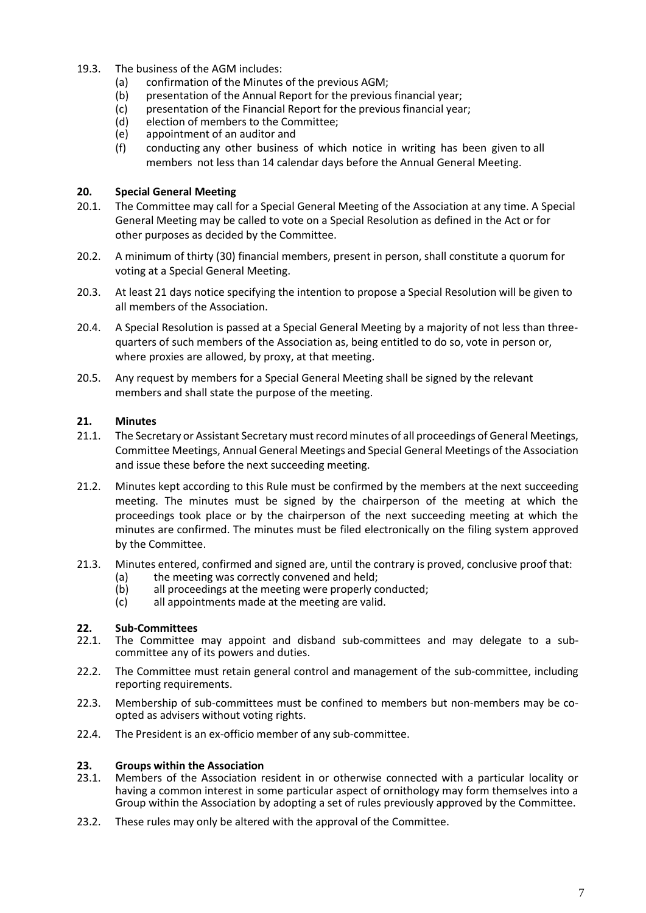- 19.3. The business of the AGM includes:
	- (a) confirmation of the Minutes of the previous AGM;
	- (b) presentation of the Annual Report for the previous financial year;
	- (c) presentation of the Financial Report for the previous financial year;<br>(d) election of members to the Committee;
	- (d) election of members to the Committee;<br>(e) appointment of an auditor and
	- appointment of an auditor and
	- (f) conducting any other business of which notice in writing has been given to all members not less than 14 calendar days before the Annual General Meeting.

### **20. Special General Meeting**

- 20.1. The Committee may call for a Special General Meeting of the Association at any time. A Special General Meeting may be called to vote on a Special Resolution as defined in the Act or for other purposes as decided by the Committee.
- 20.2. A minimum of thirty (30) financial members, present in person, shall constitute a quorum for voting at a Special General Meeting.
- 20.3. At least 21 days notice specifying the intention to propose a Special Resolution will be given to all members of the Association.
- 20.4. A Special Resolution is passed at a Special General Meeting by a majority of not less than threequarters of such members of the Association as, being entitled to do so, vote in person or, where proxies are allowed, by proxy, at that meeting.
- 20.5. Any request by members for a Special General Meeting shall be signed by the relevant members and shall state the purpose of the meeting.

## **21. Minutes**

- 21.1. The Secretary or Assistant Secretary must record minutes of all proceedings of General Meetings, Committee Meetings, Annual General Meetings and Special General Meetings of the Association and issue these before the next succeeding meeting.
- 21.2. Minutes kept according to this Rule must be confirmed by the members at the next succeeding meeting. The minutes must be signed by the chairperson of the meeting at which the proceedings took place or by the chairperson of the next succeeding meeting at which the minutes are confirmed. The minutes must be filed electronically on the filing system approved by the Committee.
- 21.3. Minutes entered, confirmed and signed are, until the contrary is proved, conclusive proof that:
	- (a) the meeting was correctly convened and held;<br>(b) all proceedings at the meeting were properly co
	- (b) all proceedings at the meeting were properly conducted;<br>(c) all appointments made at the meeting are valid.
	- all appointments made at the meeting are valid.

# **22. Sub-Committees**

- The Committee may appoint and disband sub-committees and may delegate to a subcommittee any of its powers and duties.
- 22.2. The Committee must retain general control and management of the sub-committee, including reporting requirements.
- 22.3. Membership of sub-committees must be confined to members but non-members may be coopted as advisers without voting rights.
- 22.4. The President is an ex-officio member of any sub-committee.

# **23. Groups within the Association**

- Members of the Association resident in or otherwise connected with a particular locality or having a common interest in some particular aspect of ornithology may form themselves into a Group within the Association by adopting a set of rules previously approved by the Committee.
- 23.2. These rules may only be altered with the approval of the Committee.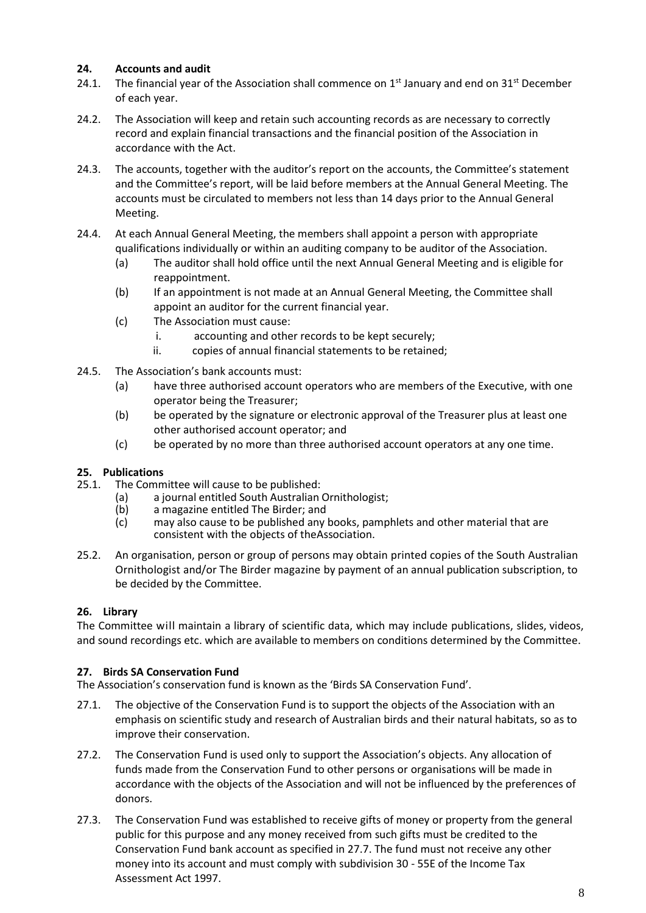# **24. Accounts and audit**

- 24.1. The financial year of the Association shall commence on  $1<sup>st</sup>$  January and end on 31<sup>st</sup> December of each year.
- 24.2. The Association will keep and retain such accounting records as are necessary to correctly record and explain financial transactions and the financial position of the Association in accordance with the Act.
- 24.3. The accounts, together with the auditor's report on the accounts, the Committee's statement and the Committee's report, will be laid before members at the Annual General Meeting. The accounts must be circulated to members not less than 14 days prior to the Annual General Meeting.
- 24.4. At each Annual General Meeting, the members shall appoint a person with appropriate qualifications individually or within an auditing company to be auditor of the Association.
	- (a) The auditor shall hold office until the next Annual General Meeting and is eligible for reappointment.
	- (b) If an appointment is not made at an Annual General Meeting, the Committee shall appoint an auditor for the current financial year.
	- (c) The Association must cause:
		- i. accounting and other records to be kept securely;
		- ii. copies of annual financial statements to be retained;
- 24.5. The Association's bank accounts must:
	- (a) have three authorised account operators who are members of the Executive, with one operator being the Treasurer;
	- (b) be operated by the signature or electronic approval of the Treasurer plus at least one other authorised account operator; and
	- (c) be operated by no more than three authorised account operators at any one time.

# **25. Publications**

- The Committee will cause to be published:
	- (a) a journal entitled South Australian Ornithologist;<br>(b) a magazine entitled The Birder; and
	- a magazine entitled The Birder; and
	- (c) may also cause to be published any books, pamphlets and other material that are consistent with the objects of theAssociation.
- 25.2. An organisation, person or group of persons may obtain printed copies of the South Australian Ornithologist and/or The Birder magazine by payment of an annual publication subscription, to be decided by the Committee.

# **26. Library**

The Committee will maintain a library of scientific data, which may include publications, slides, videos, and sound recordings etc. which are available to members on conditions determined by the Committee.

## **27. Birds SA Conservation Fund**

The Association's conservation fund is known as the 'Birds SA Conservation Fund'.

- 27.1. The objective of the Conservation Fund is to support the objects of the Association with an emphasis on scientific study and research of Australian birds and their natural habitats, so as to improve their conservation.
- 27.2. The Conservation Fund is used only to support the Association's objects. Any allocation of funds made from the Conservation Fund to other persons or organisations will be made in accordance with the objects of the Association and will not be influenced by the preferences of donors.
- 27.3. The Conservation Fund was established to receive gifts of money or property from the general public for this purpose and any money received from such gifts must be credited to the Conservation Fund bank account as specified in 27.7. The fund must not receive any other money into its account and must comply with subdivision 30 - 55E of the Income Tax Assessment Act 1997.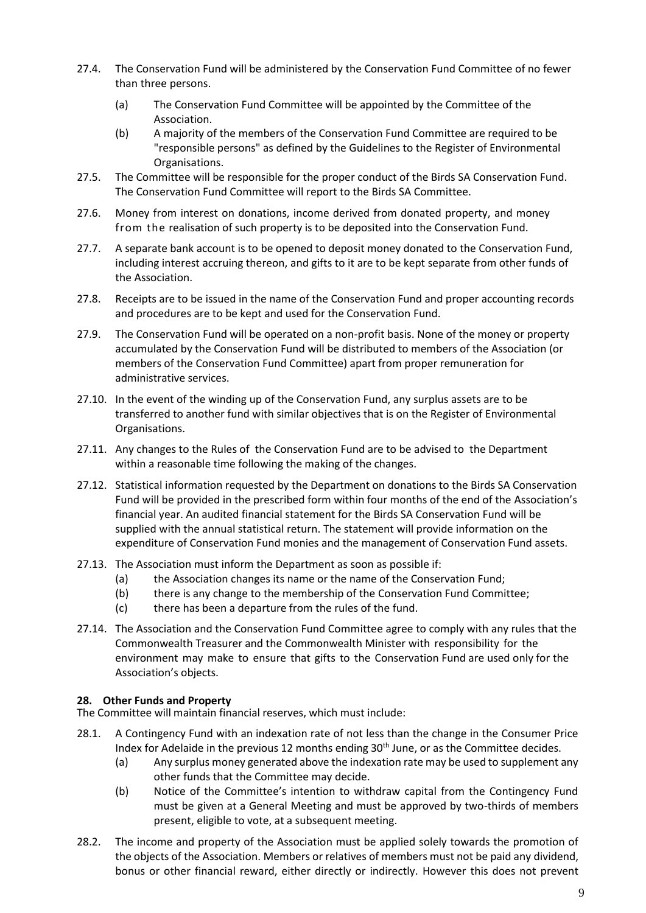- 27.4. The Conservation Fund will be administered by the Conservation Fund Committee of no fewer than three persons.
	- (a) The Conservation Fund Committee will be appointed by the Committee of the Association.
	- (b) A majority of the members of the Conservation Fund Committee are required to be "responsible persons" as defined by the Guidelines to the Register of Environmental Organisations.
- 27.5. The Committee will be responsible for the proper conduct of the Birds SA Conservation Fund. The Conservation Fund Committee will report to the Birds SA Committee.
- 27.6. Money from interest on donations, income derived from donated property, and money from the realisation of such property is to be deposited into the Conservation Fund.
- 27.7. A separate bank account is to be opened to deposit money donated to the Conservation Fund, including interest accruing thereon, and gifts to it are to be kept separate from other funds of the Association.
- 27.8. Receipts are to be issued in the name of the Conservation Fund and proper accounting records and procedures are to be kept and used for the Conservation Fund.
- 27.9. The Conservation Fund will be operated on a non-profit basis. None of the money or property accumulated by the Conservation Fund will be distributed to members of the Association (or members of the Conservation Fund Committee) apart from proper remuneration for administrative services.
- 27.10. In the event of the winding up of the Conservation Fund, any surplus assets are to be transferred to another fund with similar objectives that is on the Register of Environmental Organisations.
- 27.11. Any changes to the Rules of the Conservation Fund are to be advised to the Department within a reasonable time following the making of the changes.
- 27.12. Statistical information requested by the Department on donations to the Birds SA Conservation Fund will be provided in the prescribed form within four months of the end of the Association's financial year. An audited financial statement for the Birds SA Conservation Fund will be supplied with the annual statistical return. The statement will provide information on the expenditure of Conservation Fund monies and the management of Conservation Fund assets.
- 27.13. The Association must inform the Department as soon as possible if:
	- (a) the Association changes its name or the name of the Conservation Fund;
	- (b) there is any change to the membership of the Conservation Fund Committee;
	- (c) there has been a departure from the rules of the fund.
- 27.14. The Association and the Conservation Fund Committee agree to comply with any rules that the Commonwealth Treasurer and the Commonwealth Minister with responsibility for the environment may make to ensure that gifts to the Conservation Fund are used only for the Association's objects.

## **28. Other Funds and Property**

The Committee will maintain financial reserves, which must include:

- 28.1. A Contingency Fund with an indexation rate of not less than the change in the Consumer Price Index for Adelaide in the previous 12 months ending 30<sup>th</sup> June, or as the Committee decides.
	- (a) Any surplus money generated above the indexation rate may be used to supplement any other funds that the Committee may decide.
	- (b) Notice of the Committee's intention to withdraw capital from the Contingency Fund must be given at a General Meeting and must be approved by two-thirds of members present, eligible to vote, at a subsequent meeting.
- 28.2. The income and property of the Association must be applied solely towards the promotion of the objects of the Association. Members or relatives of members must not be paid any dividend, bonus or other financial reward, either directly or indirectly. However this does not prevent